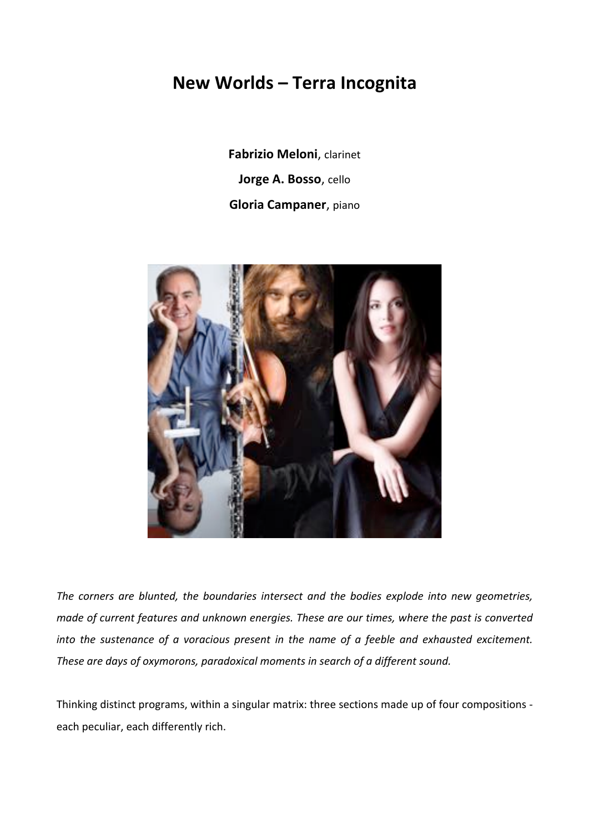# **New\$Worlds – Terra\$Incognita**

**Fabrizio Meloni**, clarinet **Jorge A. Bosso**, cello **Gloria Campaner**, piano



The corners are blunted, the boundaries intersect and the bodies explode into new geometries, *made of current features and unknown energies. These are our times, where the past is converted into the sustenance of a voracious present in the name of a feeble and exhausted excitement.* These are days of oxymorons, paradoxical moments in search of a different sound.

Thinking distinct programs, within a singular matrix: three sections made up of four compositions each peculiar, each differently rich.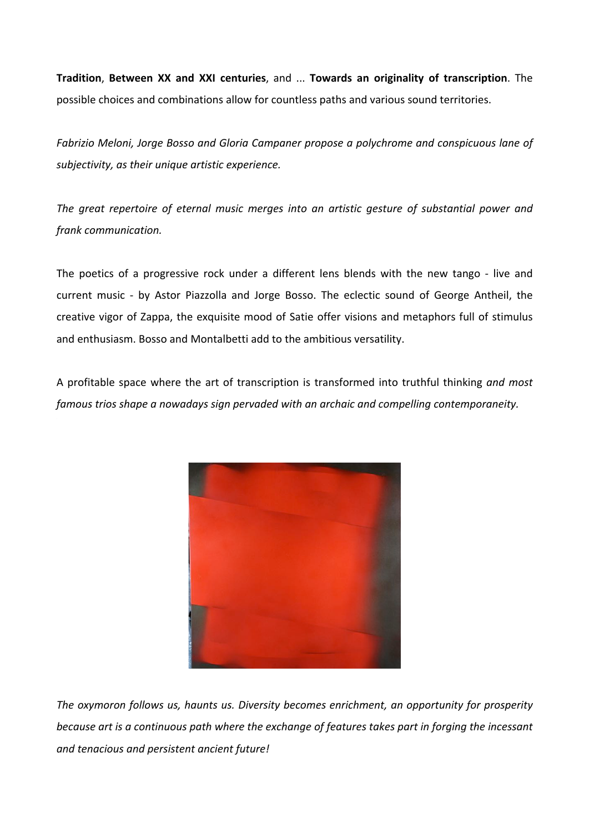**Tradition, Between XX and XXI centuries, and ... Towards an originality of transcription.** The possible choices and combinations allow for countless paths and various sound territories.

*Fabrizio\$Meloni,\$Jorge\$Bosso\$and\$Gloria\$Campaner propose\$a\$polychrome\$and\$conspicuous\$lane of\$ subjectivity,\$as their\$unique\$artistic\$experience.*

The great repertoire of eternal music merges into an artistic gesture of substantial power and *frank\$communication.\$*

The poetics of a progressive rock under a different lens blends with the new tango - live and current music - by Astor Piazzolla and Jorge Bosso. The eclectic sound of George Antheil, the creative vigor of Zappa, the exquisite mood of Satie offer visions and metaphors full of stimulus and enthusiasm. Bosso and Montalbetti add to the ambitious versatility.

A profitable space where the art of transcription is transformed into truthful thinking and most *famous trios shape a nowadays sign pervaded with an archaic and compelling contemporaneity.* 



The oxymoron follows us, haunts us. Diversity becomes enrichment, an opportunity for prosperity *because art is a continuous path where the exchange of features takes part in forging the incessant* and tenacious and persistent ancient future!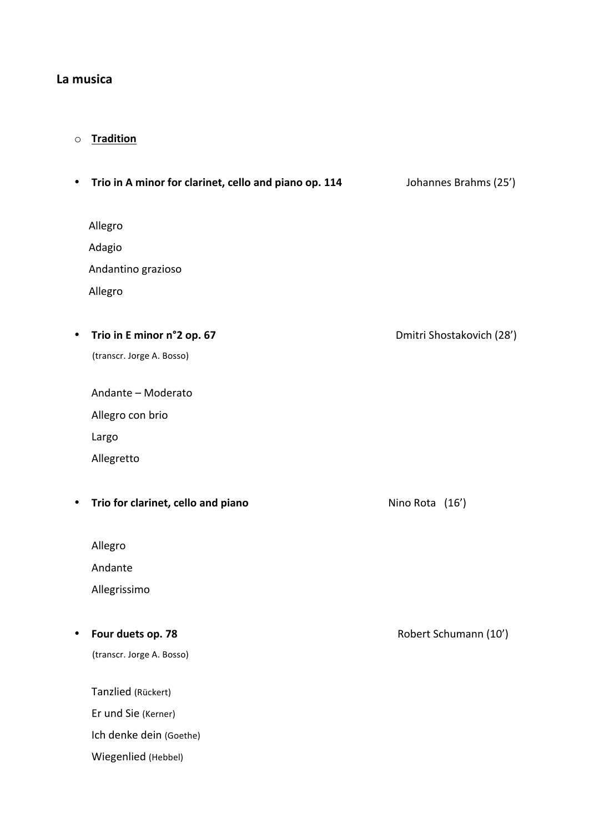## **La\$musica**

## o **Tradition**

| ٠         | Trio in A minor for clarinet, cello and piano op. 114 | Johannes Brahms (25')     |
|-----------|-------------------------------------------------------|---------------------------|
| Allegro   |                                                       |                           |
| Adagio    |                                                       |                           |
|           | Andantino grazioso                                    |                           |
| Allegro   |                                                       |                           |
| ٠         | Trio in E minor n°2 op. 67                            | Dmitri Shostakovich (28') |
|           | (transcr. Jorge A. Bosso)                             |                           |
|           | Andante - Moderato                                    |                           |
|           | Allegro con brio                                      |                           |
| Largo     |                                                       |                           |
|           | Allegretto                                            |                           |
| $\bullet$ | Trio for clarinet, cello and piano                    | Nino Rota (16')           |
| Allegro   |                                                       |                           |
|           | Andante                                               |                           |
|           | Allegrissimo                                          |                           |
|           | Four duets op. 78                                     | Robert Schumann (10')     |
|           | (transcr. Jorge A. Bosso)                             |                           |
|           | Tanzlied (Rückert)                                    |                           |
|           | Er und Sie (Kerner)                                   |                           |
|           | Ich denke dein (Goethe)                               |                           |
|           | Wiegenlied (Hebbel)                                   |                           |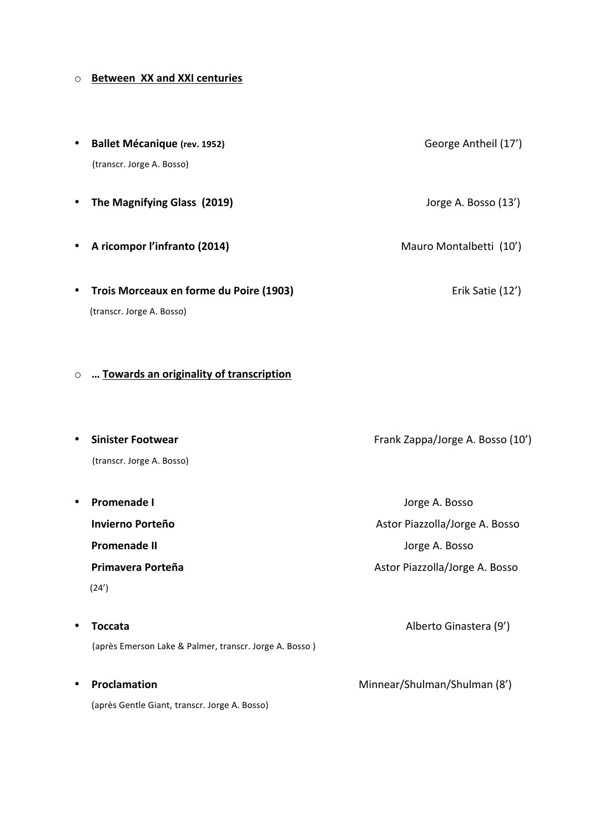## $\circ$  **Between XX and XXI centuries**

| <b>Ballet Mécanique (rev. 1952)</b>                  | George Antheil (17')    |
|------------------------------------------------------|-------------------------|
| (transcr. Jorge A. Bosso)                            |                         |
|                                                      |                         |
| The Magnifying Glass (2019)                          | Jorge A. Bosso (13')    |
|                                                      |                         |
| A ricompor l'infranto (2014)                         | Mauro Montalbetti (10') |
|                                                      |                         |
| Trois Morceaux en forme du Poire (1903)<br>$\bullet$ | Erik Satie (12')        |
| (transcr. Jorge A. Bosso)                            |                         |

### ○ **… Towards an originality of transcription**

| Sinister Footwear         | Frank Zappa/Jorge A. Bosso (10') |
|---------------------------|----------------------------------|
| (transcr. Jorge A. Bosso) |                                  |
|                           |                                  |
| Promenade I               | Jorge A. Bosso                   |
| Invierno Porteño          | Astor Piazzolla/Jorge A. Bosso   |
| Promenade II              | Jorge A. Bosso                   |
|                           |                                  |

**\$\$\$\$\$\$\$\$\$\$\$\$ Primavera\$Porteña\$\$\$\$\$\$\$\$\$\$\$\$\$\$\$\$\$\$\$\$\$\$\$\$\$\$\$\$\$\$\$\$\$\$\$\$\$\$\$\$\$\$\$\$\$\$\$\$\$\$\$\$\$\$\$\$\$\$\$\$\$\$\$\$\$\$\$\$\$\$\$**Astor"Piazzolla/Jorge"A."Bosso

 $(24')$ 

- **Toccata\$\$\$\$\$\$\$\$\$\$\$\$\$\$\$\$\$\$\$\$\$\$\$\$\$\$\$\$\$\$\$\$\$\$\$\$\$\$\$\$\$\$\$\$\$\$\$\$\$\$\$\$\$\$\$\$\$\$\$\$\$\$\$\$\$\$\$\$\$\$\$\$\$\$\$\$\$\$\$\$\$\$\$\$\$\$\$\$\$\$\$\$\$\$\$\$\$\$\$\$\$\$\$**Alberto"Ginastera"(9')" (après Emerson Lake & Palmer, transcr. Jorge A. Bosso)
- **Proclamation\$\$\$\$\$\$\$\$\$\$\$\$\$\$\$\$\$\$\$\$\$\$\$\$\$\$\$\$\$\$\$\$\$\$\$\$\$\$\$\$\$\$\$\$\$\$\$\$\$\$\$\$\$\$\$\$\$\$\$\$\$\$\$\$\$\$\$\$\$\$\$\$\$\$\$**Minnear/Shulman/Shulman"(8') (après Gentle Giant, transcr. Jorge A. Bosso)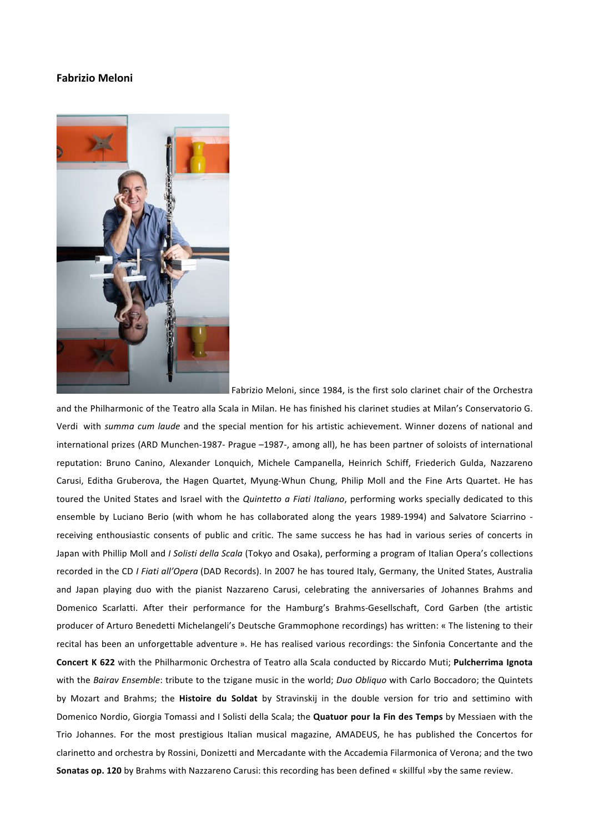### **Fabrizio\$Meloni**



Fabrizio Meloni, since 1984, is the first solo clarinet chair of the Orchestra

and the Philharmonic of the Teatro alla Scala in Milan. He has finished his clarinet studies at Milan's Conservatorio G. Verdi with *summa cum laude* and the special mention for his artistic achievement. Winner dozens of national and international prizes (ARD Munchen-1987- Prague –1987-, among all), he has been partner of soloists of international reputation: Bruno Canino, Alexander Lonquich, Michele Campanella, Heinrich Schiff, Friederich Gulda, Nazzareno Carusi, Editha Gruberova, the Hagen Quartet, Myung-Whun Chung, Philip Moll and the Fine Arts Quartet. He has toured the United States and Israel with the *Quintetto a Fiati Italiano*, performing works specially dedicated to this ensemble by Luciano Berio (with whom he has collaborated along the vears 1989-1994) and Salvatore Sciarrino receiving enthousiastic consents of public and critic. The same success he has had in various series of concerts in Japan with Phillip Moll and *I Solisti della Scala* (Tokyo and Osaka), performing a program of Italian Opera's collections recorded in the CD *I Fiati all'Opera* (DAD Records). In 2007 he has toured Italy, Germany, the United States, Australia and Japan playing duo with the pianist Nazzareno Carusi, celebrating the anniversaries of Johannes Brahms and Domenico Scarlatti. After their performance for the Hamburg's Brahms-Gesellschaft, Cord Garben (the artistic producer of Arturo Benedetti Michelangeli's Deutsche Grammophone recordings) has written: « The listening to their recital has been an unforgettable adventure ». He has realised various recordings: the Sinfonia Concertante and the **Concert K 622** with the Philharmonic Orchestra of Teatro alla Scala conducted by Riccardo Muti; Pulcherrima Ignota with the *Bairav Ensemble*: tribute to the tzigane music in the world; *Duo Obliquo* with Carlo Boccadoro; the Quintets by Mozart and Brahms; the Histoire du Soldat by Stravinskij in the double version for trio and settimino with Domenico Nordio, Giorgia Tomassi and I Solisti della Scala; the **Quatuor pour la Fin des Temps** by Messiaen with the Trio Johannes. For the most prestigious Italian musical magazine, AMADEUS, he has published the Concertos for clarinetto and orchestra by Rossini, Donizetti and Mercadante with the Accademia Filarmonica of Verona; and the two Sonatas op. 120 by Brahms with Nazzareno Carusi: this recording has been defined « skillful »by the same review.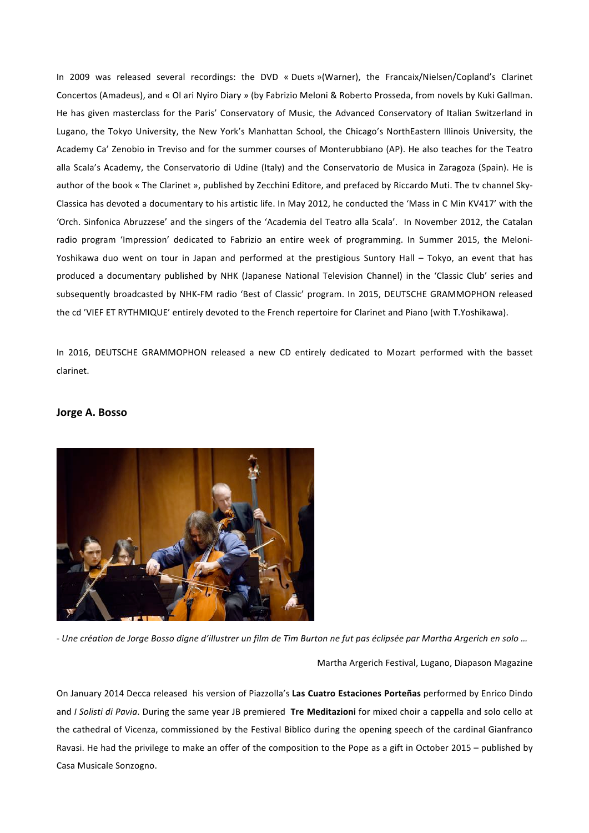In 2009 was released several recordings: the DVD « Duets »(Warner), the Francaix/Nielsen/Copland's Clarinet Concertos (Amadeus), and « Ol ari Nyiro Diary » (by Fabrizio Meloni & Roberto Prosseda, from novels by Kuki Gallman. He has given masterclass for the Paris' Conservatory of Music, the Advanced Conservatory of Italian Switzerland in Lugano, the Tokyo University, the New York's Manhattan School, the Chicago's NorthEastern Illinois University, the Academy Ca' Zenobio in Treviso and for the summer courses of Monterubbiano (AP). He also teaches for the Teatro alla Scala's Academy, the Conservatorio di Udine (Italy) and the Conservatorio de Musica in Zaragoza (Spain). He is author of the book « The Clarinet », published by Zecchini Editore, and prefaced by Riccardo Muti. The tv channel Sky-Classica has devoted a documentary to his artistic life. In May 2012, he conducted the 'Mass in C Min KV417' with the 'Orch. Sinfonica Abruzzese' and the singers of the 'Academia del Teatro alla Scala'. In November 2012, the Catalan radio program 'Impression' dedicated to Fabrizio an entire week of programming. In Summer 2015, the Meloni-Yoshikawa duo went on tour in Japan and performed at the prestigious Suntory Hall – Tokyo, an event that has produced a documentary published by NHK (Japanese National Television Channel) in the 'Classic Club' series and subsequently broadcasted by NHK-FM radio 'Best of Classic' program. In 2015, DEUTSCHE GRAMMOPHON released the cd 'VIEF ET RYTHMIQUE' entirely devoted to the French repertoire for Clarinet and Piano (with T.Yoshikawa).

In 2016, DEUTSCHE GRAMMOPHON released a new CD entirely dedicated to Mozart performed with the basset clarinet.

#### Jorge A. Bosso



- Une création de Jorge Bosso digne d'illustrer un film de Tim Burton ne fut pas éclipsée par Martha Argerich en solo …

Martha Argerich Festival, Lugano, Diapason Magazine

On January 2014 Decca released his version of Piazzolla's Las Cuatro Estaciones Porteñas performed by Enrico Dindo and *I Solisti di Pavia*. During the same year JB premiered Tre Meditazioni for mixed choir a cappella and solo cello at the cathedral of Vicenza, commissioned by the Festival Biblico during the opening speech of the cardinal Gianfranco Ravasi. He had the privilege to make an offer of the composition to the Pope as a gift in October 2015 – published by Casa Musicale Sonzogno.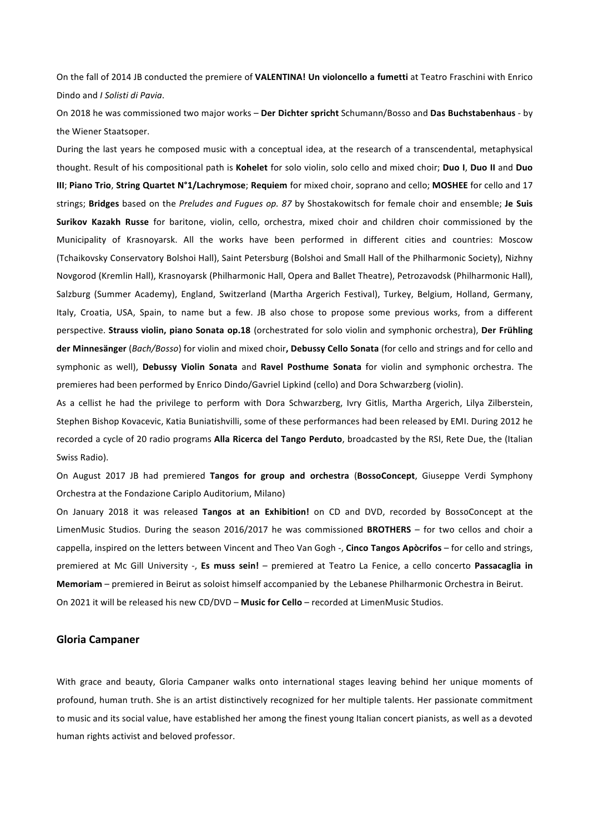On the fall of 2014 JB conducted the premiere of VALENTINA! Un violoncello a fumetti at Teatro Fraschini with Enrico Dindo and *I Solisti di Pavia*.

On 2018 he was commissioned two major works - Der Dichter spricht Schumann/Bosso and Das Buchstabenhaus - by the Wiener Staatsoper.

During the last years he composed music with a conceptual idea, at the research of a transcendental, metaphysical thought. Result of his compositional path is Kohelet for solo violin, solo cello and mixed choir; Duo I, Duo II and Duo **III**; Piano Trio, String Quartet N°1/Lachrymose; Requiem for mixed choir, soprano and cello; MOSHEE for cello and 17 strings; Bridges based on the Preludes and Fugues op. 87 by Shostakowitsch for female choir and ensemble; Je Suis Surikov Kazakh Russe for baritone, violin, cello, orchestra, mixed choir and children choir commissioned by the Municipality of Krasnoyarsk. All the works have been performed in different cities and countries: Moscow (Tchaikovsky Conservatory Bolshoi Hall), Saint Petersburg (Bolshoi and Small Hall of the Philharmonic Society), Nizhny Novgorod (Kremlin Hall), Krasnoyarsk (Philharmonic Hall, Opera and Ballet Theatre), Petrozavodsk (Philharmonic Hall), Salzburg (Summer Academy), England, Switzerland (Martha Argerich Festival), Turkey, Belgium, Holland, Germany, Italy, Croatia, USA, Spain, to name but a few. JB also chose to propose some previous works, from a different perspective. Strauss violin, piano Sonata op.18 (orchestrated for solo violin and symphonic orchestra), Der Frühling der Minnesänger (*Bach/Bosso*) for violin and mixed choir, Debussy Cello Sonata (for cello and strings and for cello and symphonic as well), **Debussy Violin Sonata** and Ravel Posthume Sonata for violin and symphonic orchestra. The premieres had been performed by Enrico Dindo/Gavriel Lipkind (cello) and Dora Schwarzberg (violin).

As a cellist he had the privilege to perform with Dora Schwarzberg, Ivry Gitlis, Martha Argerich, Lilya Zilberstein, Stephen Bishop Kovacevic, Katia Buniatishvilli, some of these performances had been released by EMI. During 2012 he recorded a cycle of 20 radio programs **Alla Ricerca del Tango Perduto**, broadcasted by the RSI, Rete Due, the (Italian Swiss Radio).

On August 2017 JB had premiered Tangos for group and orchestra (BossoConcept, Giuseppe Verdi Symphony Orchestra at the Fondazione Cariplo Auditorium, Milano)

On January 2018 it was released Tangos at an Exhibition! on CD and DVD, recorded by BossoConcept at the LimenMusic Studios. During the season 2016/2017 he was commissioned **BROTHERS** – for two cellos and choir a cappella, inspired on the letters between Vincent and Theo Van Gogh -, Cinco Tangos Apòcrifos – for cello and strings, premiered at Mc Gill University -, Es muss sein! – premiered at Teatro La Fenice, a cello concerto Passacaglia in **Memoriam** – premiered in Beirut as soloist himself accompanied by the Lebanese Philharmonic Orchestra in Beirut. On 2021 it will be released his new CD/DVD – Music for Cello – recorded at LimenMusic Studios.

#### **Gloria\$Campaner**

With grace and beauty, Gloria Campaner walks onto international stages leaving behind her unique moments of profound, human truth. She is an artist distinctively recognized for her multiple talents. Her passionate commitment to music and its social value, have established her among the finest young Italian concert pianists, as well as a devoted human rights activist and beloved professor.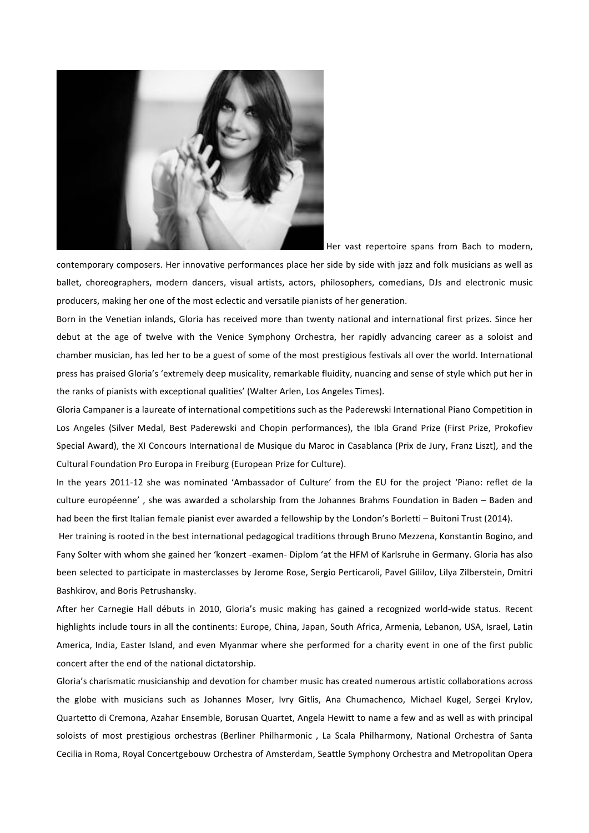

Her vast repertoire spans from Bach to modern,

contemporary composers. Her innovative performances place her side by side with jazz and folk musicians as well as ballet, choreographers, modern dancers, visual artists, actors, philosophers, comedians, DJs and electronic music producers, making her one of the most eclectic and versatile pianists of her generation.

Born in the Venetian inlands, Gloria has received more than twenty national and international first prizes. Since her debut at the age of twelve with the Venice Symphony Orchestra, her rapidly advancing career as a soloist and chamber musician, has led her to be a guest of some of the most prestigious festivals all over the world. International press has praised Gloria's 'extremely deep musicality, remarkable fluidity, nuancing and sense of style which put her in the ranks of pianists with exceptional qualities' (Walter Arlen, Los Angeles Times).

Gloria Campaner is a laureate of international competitions such as the Paderewski International Piano Competition in Los Angeles (Silver Medal, Best Paderewski and Chopin performances), the Ibla Grand Prize (First Prize, Prokofiev Special Award), the XI Concours International de Musique du Maroc in Casablanca (Prix de Jury, Franz Liszt), and the Cultural Foundation Pro Europa in Freiburg (European Prize for Culture).

In the years 2011-12 she was nominated 'Ambassador of Culture' from the EU for the project 'Piano: reflet de la culture européenne', she was awarded a scholarship from the Johannes Brahms Foundation in Baden – Baden and had been the first Italian female pianist ever awarded a fellowship by the London's Borletti - Buitoni Trust (2014).

Her training is rooted in the best international pedagogical traditions through Bruno Mezzena, Konstantin Bogino, and Fany Solter with whom she gained her 'konzert -examen- Diplom 'at the HFM of Karlsruhe in Germany. Gloria has also been selected to participate in masterclasses by Jerome Rose, Sergio Perticaroli, Pavel Gililov, Lilya Zilberstein, Dmitri Bashkirov, and Boris Petrushansky.

After her Carnegie Hall débuts in 2010, Gloria's music making has gained a recognized world-wide status. Recent highlights include tours in all the continents: Europe, China, Japan, South Africa, Armenia, Lebanon, USA, Israel, Latin America, India, Easter Island, and even Myanmar where she performed for a charity event in one of the first public concert after the end of the national dictatorship.

Gloria's charismatic musicianship and devotion for chamber music has created numerous artistic collaborations across the globe with musicians such as Johannes Moser, Ivry Gitlis, Ana Chumachenco, Michael Kugel, Sergei Krylov, Quartetto di Cremona, Azahar Ensemble, Borusan Quartet, Angela Hewitt to name a few and as well as with principal soloists of most prestigious orchestras (Berliner Philharmonic, La Scala Philharmony, National Orchestra of Santa Cecilia in Roma, Royal Concertgebouw Orchestra of Amsterdam, Seattle Symphony Orchestra and Metropolitan Opera